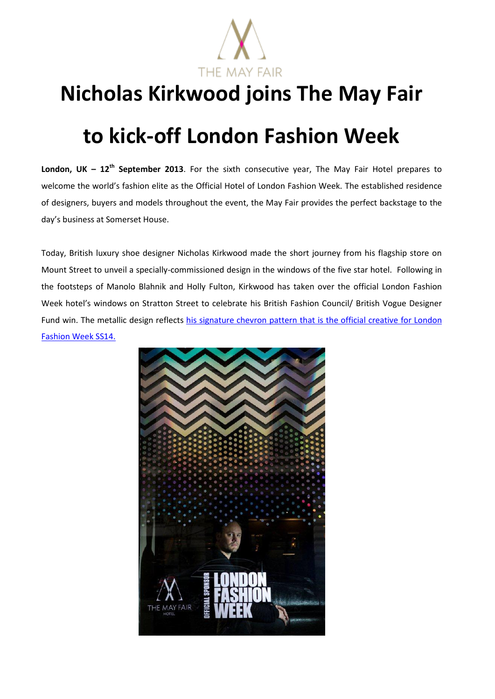

## **Nicholas Kirkwood joins The May Fair**

## **to kick-off London Fashion Week**

**London, UK – 12<sup>th</sup> September 2013**. For the sixth consecutive year, The May Fair Hotel prepares to welcome the world's fashion elite as the Official Hotel of London Fashion Week. The established residence of designers, buyers and models throughout the event, the May Fair provides the perfect backstage to the day's business at Somerset House.

Today, British luxury shoe designer Nicholas Kirkwood made the short journey from his flagship store on Mount Street to unveil a specially-commissioned design in the windows of the five star hotel. Following in the footsteps of Manolo Blahnik and Holly Fulton, Kirkwood has taken over the official London Fashion Week hotel's windows on Stratton Street to celebrate his British Fashion Council/ British Vogue Designer Fund win. The metallic design reflects [his signature chevron pattern that is](http://britishfashioncouncil.co.uk/news/569/Nicholas-Kirkwood-LFW-Collaboration) the official creative for London [Fashion Week SS14.](http://britishfashioncouncil.co.uk/news/569/Nicholas-Kirkwood-LFW-Collaboration)

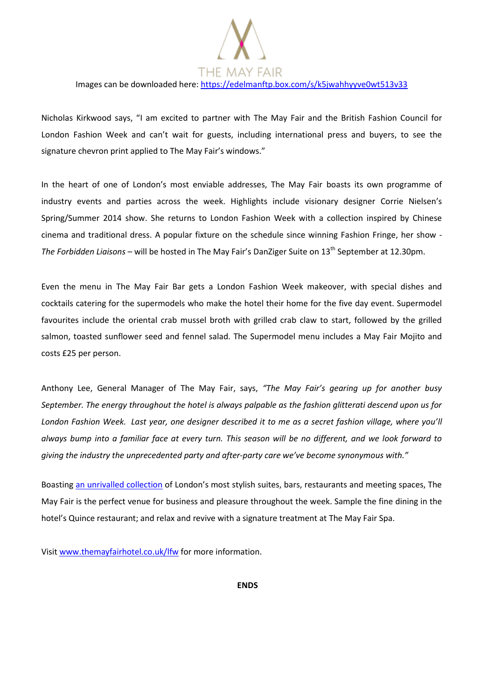the may fair

Images can be downloaded here[: https://edelmanftp.box.com/s/k5jwahhyyve0wt513v33](https://edelmanftp.box.com/s/k5jwahhyyve0wt513v33)

Nicholas Kirkwood says, "I am excited to partner with The May Fair and the British Fashion Council for London Fashion Week and can't wait for guests, including international press and buyers, to see the signature chevron print applied to The May Fair's windows."

In the heart of one of London's most enviable addresses, The May Fair boasts its own programme of industry events and parties across the week. Highlights include visionary designer Corrie Nielsen's Spring/Summer 2014 show. She returns to London Fashion Week with a collection inspired by Chinese cinema and traditional dress. A popular fixture on the schedule since winning Fashion Fringe, her show - *The Forbidden Liaisons* – will be hosted in The May Fair's DanZiger Suite on 13<sup>th</sup> September at 12.30pm.

Even the menu in The May Fair Bar gets a London Fashion Week makeover, with special dishes and cocktails catering for the supermodels who make the hotel their home for the five day event. Supermodel favourites include the oriental crab mussel broth with grilled crab claw to start, followed by the grilled salmon, toasted sunflower seed and fennel salad. The Supermodel menu includes a May Fair Mojito and costs £25 per person.

Anthony Lee, General Manager of The May Fair, says, *"The May Fair's gearing up for another busy September. The energy throughout the hotel is always palpable as the fashion glitterati descend upon us for London Fashion Week. Last year, one designer described it to me as a secret fashion village, where you'll always bump into a familiar face at every turn. This season will be no different, and we look forward to giving the industry the unprecedented party and after-party care we've become synonymous with."* 

Boasting [an unrivalled collection](http://www.themayfairsuites.com/) of London's most stylish suites, bars, restaurants and meeting spaces, The May Fair is the perfect venue for business and pleasure throughout the week. Sample the fine dining in the hotel's Quince restaurant; and relax and revive with a signature treatment at The May Fair Spa.

Visit [www.themayfairhotel.co.uk/lfw](http://www.themayfairhotel.co.uk/lfw) for more information.

**ENDS**